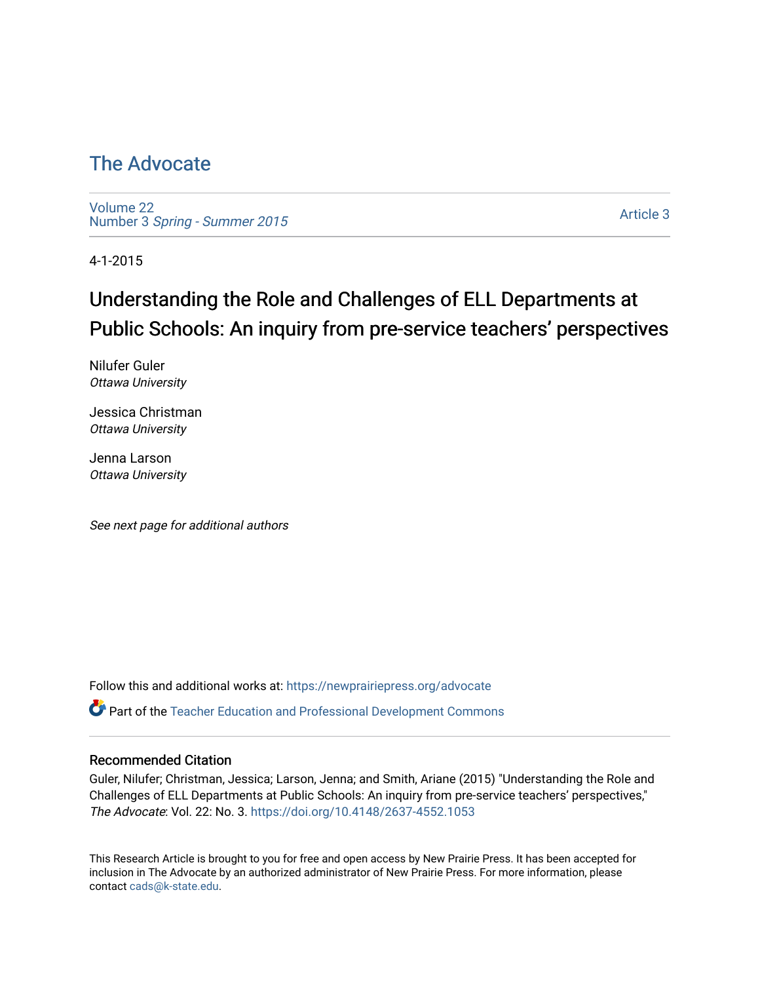## [The Advocate](https://newprairiepress.org/advocate)

[Volume 22](https://newprairiepress.org/advocate/vol22) Number 3 [Spring - Summer 2015](https://newprairiepress.org/advocate/vol22/iss3) 

[Article 3](https://newprairiepress.org/advocate/vol22/iss3/3) 

4-1-2015

# Understanding the Role and Challenges of ELL Departments at Public Schools: An inquiry from pre-service teachers' perspectives

Nilufer Guler Ottawa University

Jessica Christman Ottawa University

Jenna Larson Ottawa University

See next page for additional authors

Follow this and additional works at: [https://newprairiepress.org/advocate](https://newprairiepress.org/advocate?utm_source=newprairiepress.org%2Fadvocate%2Fvol22%2Fiss3%2F3&utm_medium=PDF&utm_campaign=PDFCoverPages) 

Part of the [Teacher Education and Professional Development Commons](http://network.bepress.com/hgg/discipline/803?utm_source=newprairiepress.org%2Fadvocate%2Fvol22%2Fiss3%2F3&utm_medium=PDF&utm_campaign=PDFCoverPages) 

#### Recommended Citation

Guler, Nilufer; Christman, Jessica; Larson, Jenna; and Smith, Ariane (2015) "Understanding the Role and Challenges of ELL Departments at Public Schools: An inquiry from pre-service teachers' perspectives," The Advocate: Vol. 22: No. 3.<https://doi.org/10.4148/2637-4552.1053>

This Research Article is brought to you for free and open access by New Prairie Press. It has been accepted for inclusion in The Advocate by an authorized administrator of New Prairie Press. For more information, please contact [cads@k-state.edu](mailto:cads@k-state.edu).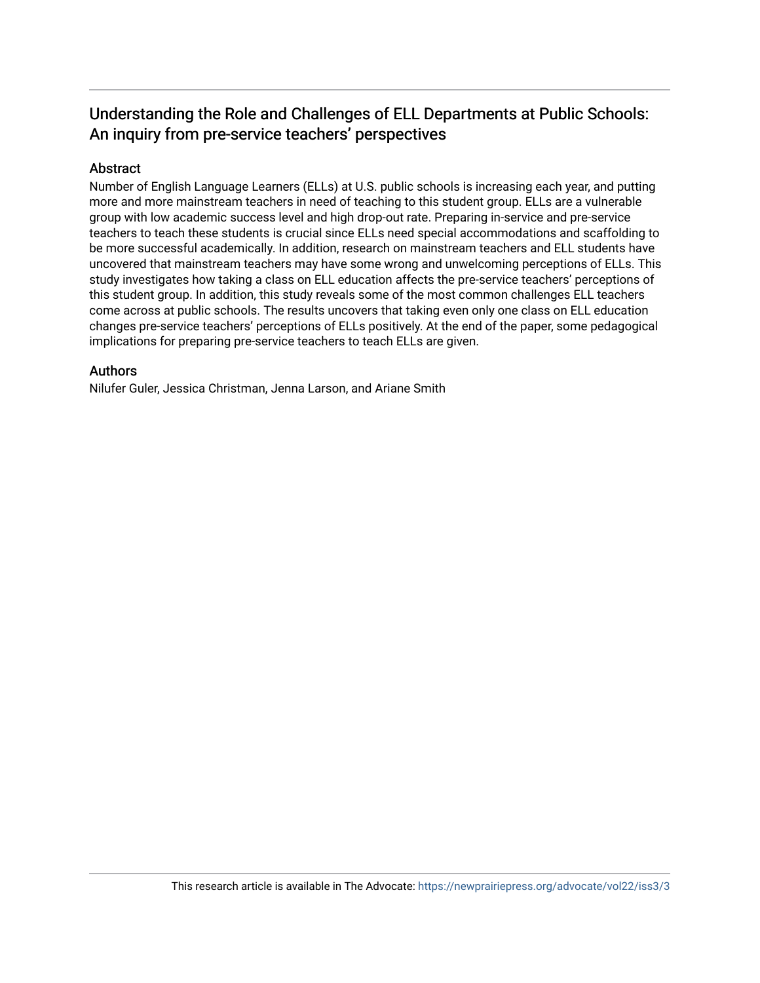### Understanding the Role and Challenges of ELL Departments at Public Schools: An inquiry from pre-service teachers' perspectives

#### Abstract

Number of English Language Learners (ELLs) at U.S. public schools is increasing each year, and putting more and more mainstream teachers in need of teaching to this student group. ELLs are a vulnerable group with low academic success level and high drop-out rate. Preparing in-service and pre-service teachers to teach these students is crucial since ELLs need special accommodations and scaffolding to be more successful academically. In addition, research on mainstream teachers and ELL students have uncovered that mainstream teachers may have some wrong and unwelcoming perceptions of ELLs. This study investigates how taking a class on ELL education affects the pre-service teachers' perceptions of this student group. In addition, this study reveals some of the most common challenges ELL teachers come across at public schools. The results uncovers that taking even only one class on ELL education changes pre-service teachers' perceptions of ELLs positively. At the end of the paper, some pedagogical implications for preparing pre-service teachers to teach ELLs are given.

#### Authors

Nilufer Guler, Jessica Christman, Jenna Larson, and Ariane Smith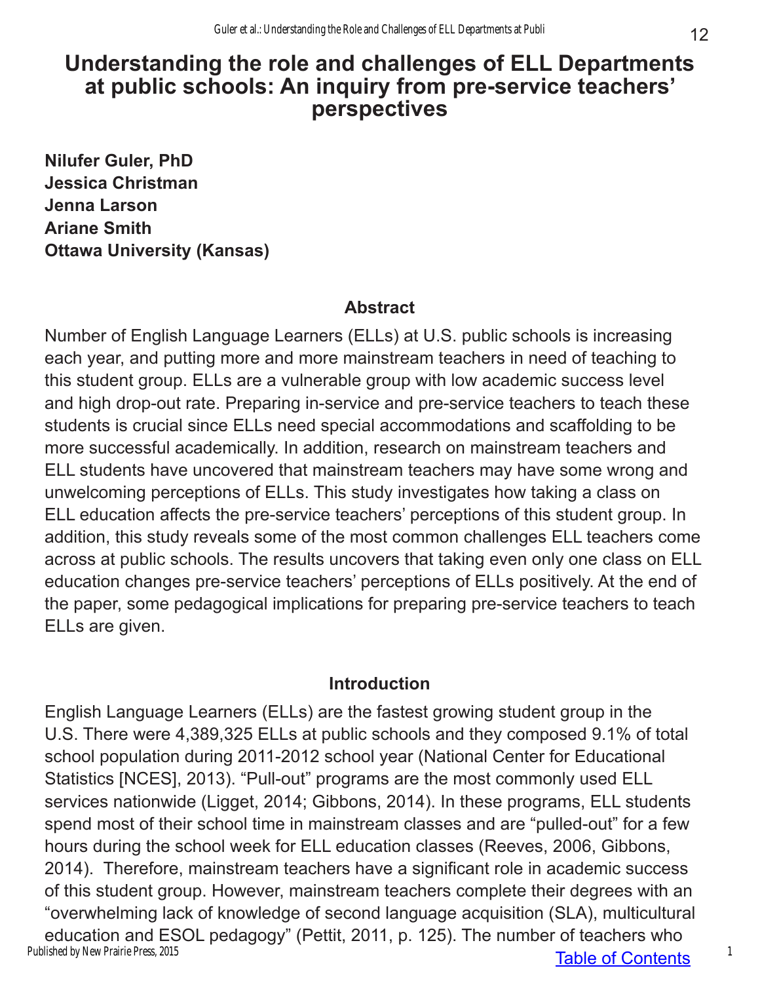## **Understanding the role and challenges of ELL Departments at public schools: An inquiry from pre-service teachers' perspectives**

**Nilufer Guler, PhD Jessica Christman Jenna Larson Ariane Smith Ottawa University (Kansas)**

### **Abstract**

Number of English Language Learners (ELLs) at U.S. public schools is increasing each year, and putting more and more mainstream teachers in need of teaching to this student group. ELLs are a vulnerable group with low academic success level and high drop-out rate. Preparing in-service and pre-service teachers to teach these students is crucial since ELLs need special accommodations and scaffolding to be more successful academically. In addition, research on mainstream teachers and ELL students have uncovered that mainstream teachers may have some wrong and unwelcoming perceptions of ELLs. This study investigates how taking a class on ELL education affects the pre-service teachers' perceptions of this student group. In addition, this study reveals some of the most common challenges ELL teachers come across at public schools. The results uncovers that taking even only one class on ELL education changes pre-service teachers' perceptions of ELLs positively. At the end of the paper, some pedagogical implications for preparing pre-service teachers to teach ELLs are given.

#### **Introduction**

Table of Contents English Language Learners (ELLs) are the fastest growing student group in the U.S. There were 4,389,325 ELLs at public schools and they composed 9.1% of total school population during 2011-2012 school year (National Center for Educational Statistics [NCES], 2013). "Pull-out" programs are the most commonly used ELL services nationwide (Ligget, 2014; Gibbons, 2014). In these programs, ELL students spend most of their school time in mainstream classes and are "pulled-out" for a few hours during the school week for ELL education classes (Reeves, 2006, Gibbons, 2014). Therefore, mainstream teachers have a significant role in academic success of this student group. However, mainstream teachers complete their degrees with an "overwhelming lack of knowledge of second language acquisition (SLA), multicultural education and ESOL pedagogy" (Pettit, 2011, p. 125). The number of teachers who Published by New Prairie Press, 2015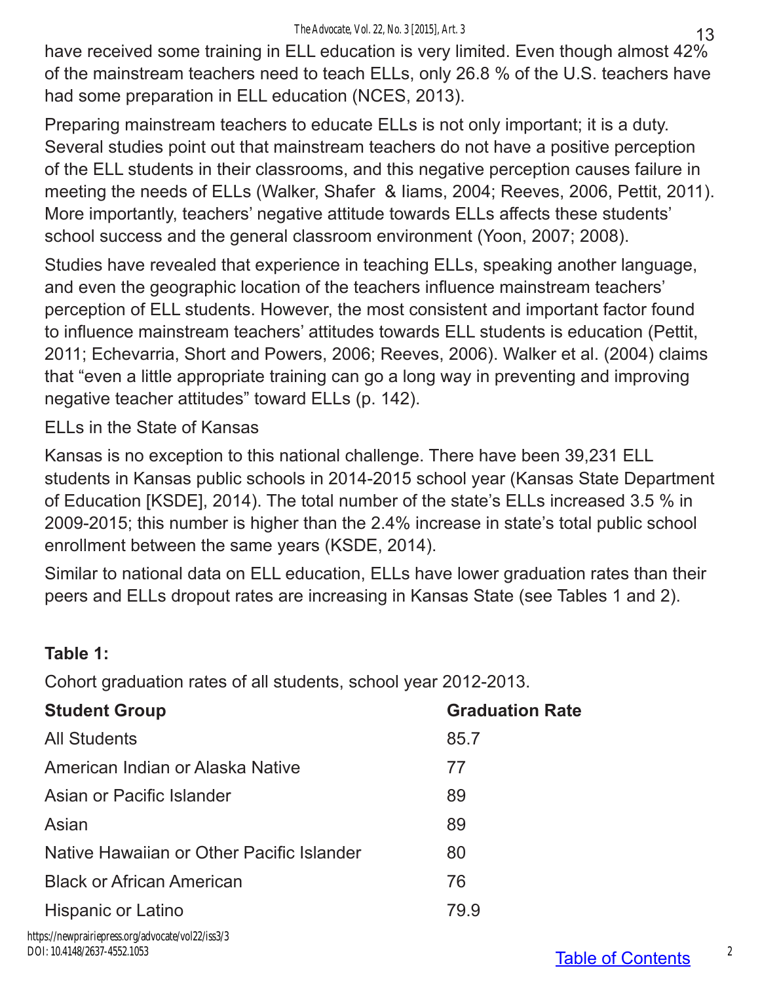have received some training in ELL education is very limited. Even though almost 42% of the mainstream teachers need to teach ELLs, only 26.8 % of the U.S. teachers have had some preparation in ELL education (NCES, 2013).

Preparing mainstream teachers to educate ELLs is not only important; it is a duty. Several studies point out that mainstream teachers do not have a positive perception of the ELL students in their classrooms, and this negative perception causes failure in meeting the needs of ELLs (Walker, Shafer & Iiams, 2004; Reeves, 2006, Pettit, 2011). More importantly, teachers' negative attitude towards ELLs affects these students' school success and the general classroom environment (Yoon, 2007; 2008).

Studies have revealed that experience in teaching ELLs, speaking another language, and even the geographic location of the teachers influence mainstream teachers' perception of ELL students. However, the most consistent and important factor found to influence mainstream teachers' attitudes towards ELL students is education (Pettit, 2011; Echevarria, Short and Powers, 2006; Reeves, 2006). Walker et al. (2004) claims that "even a little appropriate training can go a long way in preventing and improving negative teacher attitudes" toward ELLs (p. 142).

ELLs in the State of Kansas

Kansas is no exception to this national challenge. There have been 39,231 ELL students in Kansas public schools in 2014-2015 school year (Kansas State Department of Education [KSDE], 2014). The total number of the state's ELLs increased 3.5 % in 2009-2015; this number is higher than the 2.4% increase in state's total public school enrollment between the same years (KSDE, 2014).

Similar to national data on ELL education, ELLs have lower graduation rates than their peers and ELLs dropout rates are increasing in Kansas State (see Tables 1 and 2).

## **Table 1:**

Cohort graduation rates of all students, school year 2012-2013.

| <b>Student Group</b>                      | <b>Graduation Rate</b> |
|-------------------------------------------|------------------------|
| <b>All Students</b>                       | 85.7                   |
| American Indian or Alaska Native          | 77                     |
| Asian or Pacific Islander                 | 89                     |
| Asian                                     | 89                     |
| Native Hawaiian or Other Pacific Islander | 80                     |
| <b>Black or African American</b>          | 76                     |
| Hispanic or Latino                        | 79.9                   |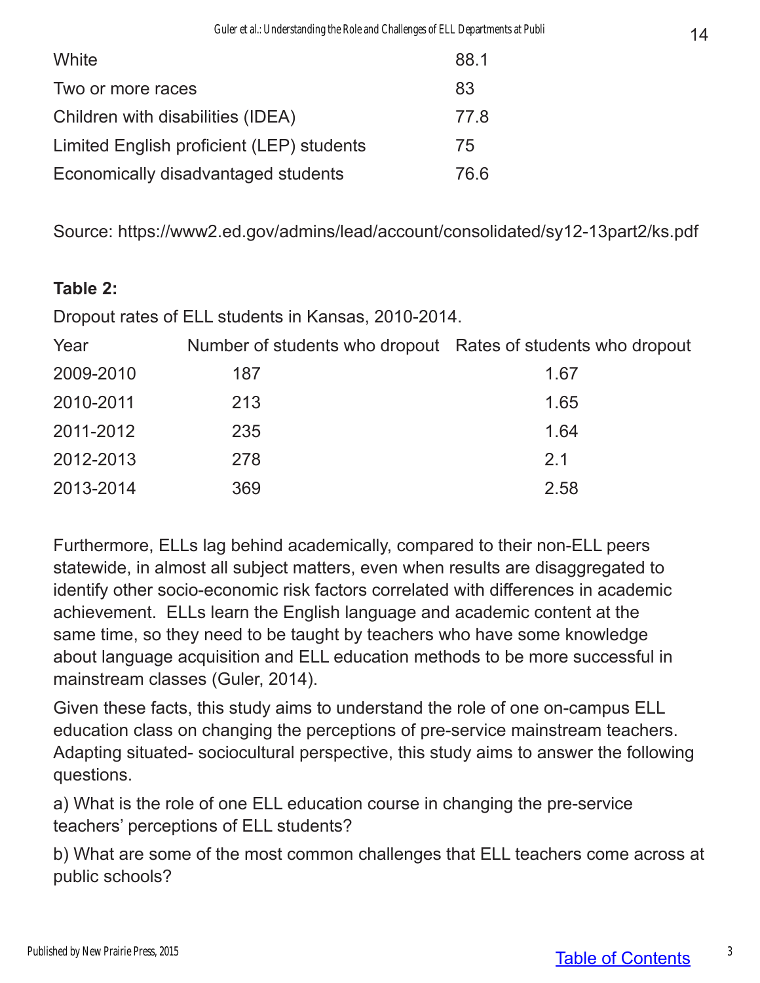| White                                     | 88.1 |
|-------------------------------------------|------|
| Two or more races                         | 83   |
| Children with disabilities (IDEA)         | 77.8 |
| Limited English proficient (LEP) students |      |
| Economically disadvantaged students       |      |

Source: https://www2.ed.gov/admins/lead/account/consolidated/sy12-13part2/ks.pdf

### **Table 2:**

Dropout rates of ELL students in Kansas, 2010-2014.

| Year      | Number of students who dropout Rates of students who dropout |      |
|-----------|--------------------------------------------------------------|------|
| 2009-2010 | 187                                                          | 1.67 |
| 2010-2011 | 213                                                          | 1.65 |
| 2011-2012 | 235                                                          | 1.64 |
| 2012-2013 | 278                                                          | 2.1  |
| 2013-2014 | 369                                                          | 2.58 |

Furthermore, ELLs lag behind academically, compared to their non-ELL peers statewide, in almost all subject matters, even when results are disaggregated to identify other socio-economic risk factors correlated with differences in academic achievement. ELLs learn the English language and academic content at the same time, so they need to be taught by teachers who have some knowledge about language acquisition and ELL education methods to be more successful in mainstream classes (Guler, 2014).

Given these facts, this study aims to understand the role of one on-campus ELL education class on changing the perceptions of pre-service mainstream teachers. Adapting situated- sociocultural perspective, this study aims to answer the following questions.

a) What is the role of one ELL education course in changing the pre-service teachers' perceptions of ELL students?

b) What are some of the most common challenges that ELL teachers come across at public schools?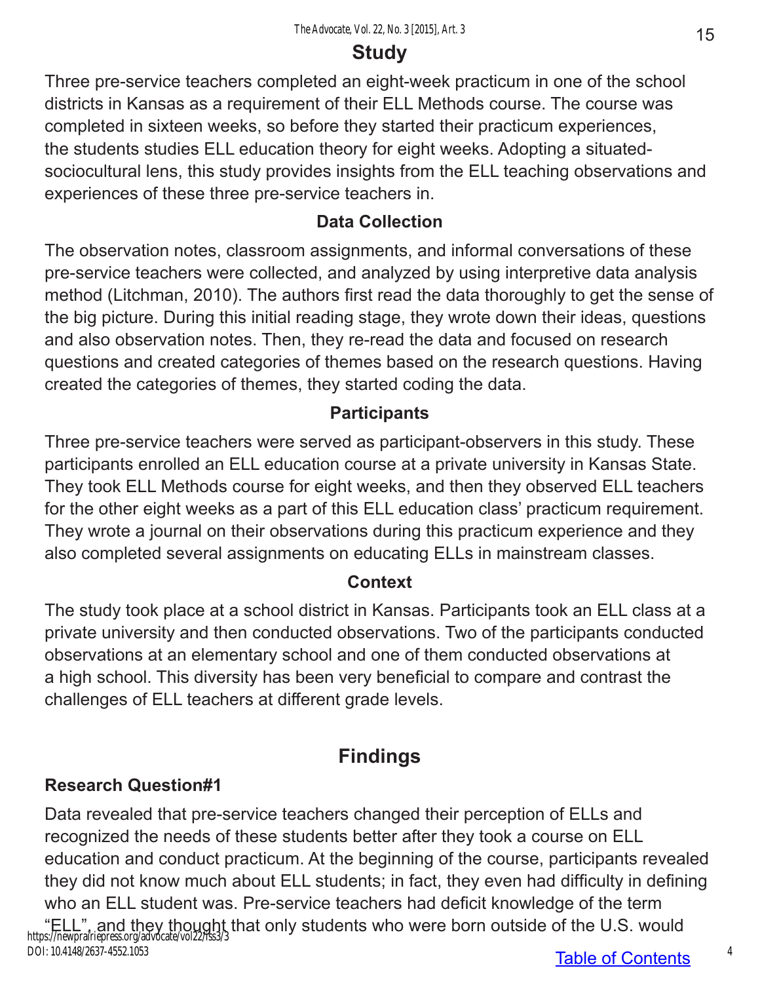# **Study**

Three pre-service teachers completed an eight-week practicum in one of the school districts in Kansas as a requirement of their ELL Methods course. The course was completed in sixteen weeks, so before they started their practicum experiences, the students studies ELL education theory for eight weeks. Adopting a situatedsociocultural lens, this study provides insights from the ELL teaching observations and experiences of these three pre-service teachers in.

### **Data Collection**

The observation notes, classroom assignments, and informal conversations of these pre-service teachers were collected, and analyzed by using interpretive data analysis method (Litchman, 2010). The authors first read the data thoroughly to get the sense of the big picture. During this initial reading stage, they wrote down their ideas, questions and also observation notes. Then, they re-read the data and focused on research questions and created categories of themes based on the research questions. Having created the categories of themes, they started coding the data.

## **Participants**

Three pre-service teachers were served as participant-observers in this study. These participants enrolled an ELL education course at a private university in Kansas State. They took ELL Methods course for eight weeks, and then they observed ELL teachers for the other eight weeks as a part of this ELL education class' practicum requirement. They wrote a journal on their observations during this practicum experience and they also completed several assignments on educating ELLs in mainstream classes.

## **Context**

The study took place at a school district in Kansas. Participants took an ELL class at a private university and then conducted observations. Two of the participants conducted observations at an elementary school and one of them conducted observations at a high school. This diversity has been very beneficial to compare and contrast the challenges of ELL teachers at different grade levels.

# **Findings**

## **Research Question#1**

Data revealed that pre-service teachers changed their perception of ELLs and recognized the needs of these students better after they took a course on ELL education and conduct practicum. At the beginning of the course, participants revealed they did not know much about ELL students; in fact, they even had difficulty in defining who an ELL student was. Pre-service teachers had deficit knowledge of the term "ELL", and they thought that only students who were born outside of the U.S. would<br>https://newprairiepress.org/advocate/vol22/iss3/3 DOI: 10.4148/2637-4552.1053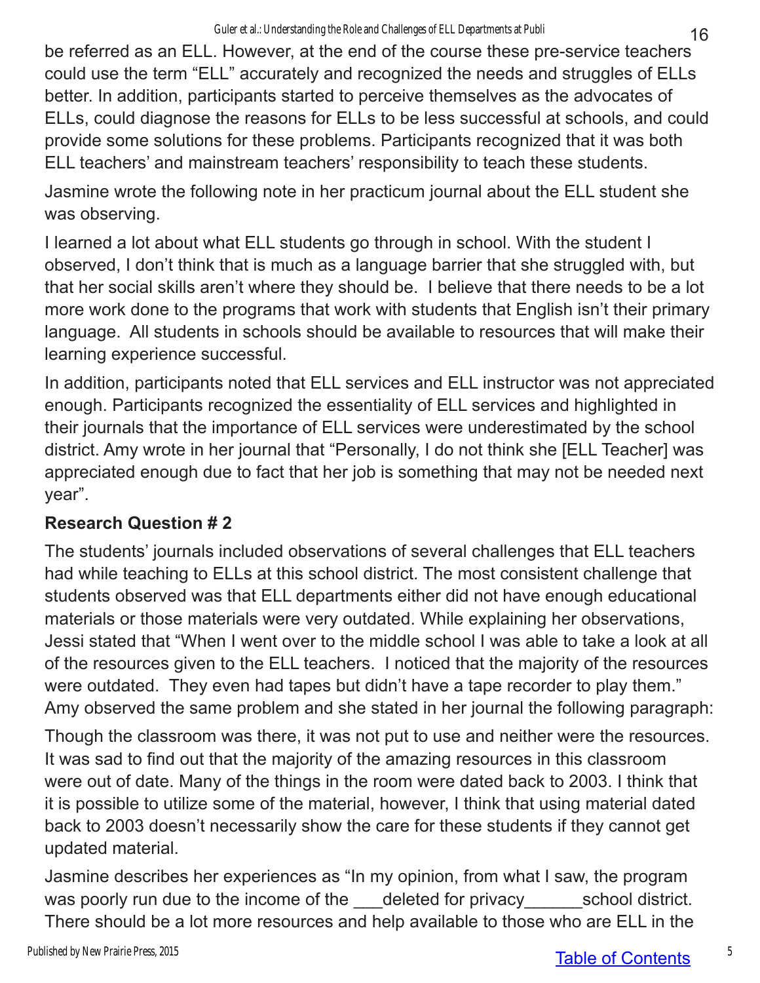be referred as an ELL. However, at the end of the course these pre-service teachers could use the term "ELL" accurately and recognized the needs and struggles of ELLs better. In addition, participants started to perceive themselves as the advocates of ELLs, could diagnose the reasons for ELLs to be less successful at schools, and could provide some solutions for these problems. Participants recognized that it was both ELL teachers' and mainstream teachers' responsibility to teach these students.

Jasmine wrote the following note in her practicum journal about the ELL student she was observing.

I learned a lot about what ELL students go through in school. With the student I observed, I don't think that is much as a language barrier that she struggled with, but that her social skills aren't where they should be. I believe that there needs to be a lot more work done to the programs that work with students that English isn't their primary language. All students in schools should be available to resources that will make their learning experience successful.

In addition, participants noted that ELL services and ELL instructor was not appreciated enough. Participants recognized the essentiality of ELL services and highlighted in their journals that the importance of ELL services were underestimated by the school district. Amy wrote in her journal that "Personally, I do not think she [ELL Teacher] was appreciated enough due to fact that her job is something that may not be needed next year".

## **Research Question # 2**

The students' journals included observations of several challenges that ELL teachers had while teaching to ELLs at this school district. The most consistent challenge that students observed was that ELL departments either did not have enough educational materials or those materials were very outdated. While explaining her observations, Jessi stated that "When I went over to the middle school I was able to take a look at all of the resources given to the ELL teachers. I noticed that the majority of the resources were outdated. They even had tapes but didn't have a tape recorder to play them." Amy observed the same problem and she stated in her journal the following paragraph:

Though the classroom was there, it was not put to use and neither were the resources. It was sad to find out that the majority of the amazing resources in this classroom were out of date. Many of the things in the room were dated back to 2003. I think that it is possible to utilize some of the material, however, I think that using material dated back to 2003 doesn't necessarily show the care for these students if they cannot get updated material.

Jasmine describes her experiences as "In my opinion, from what I saw, the program was poorly run due to the income of the deleted for privacy school district. There should be a lot more resources and help available to those who are ELL in the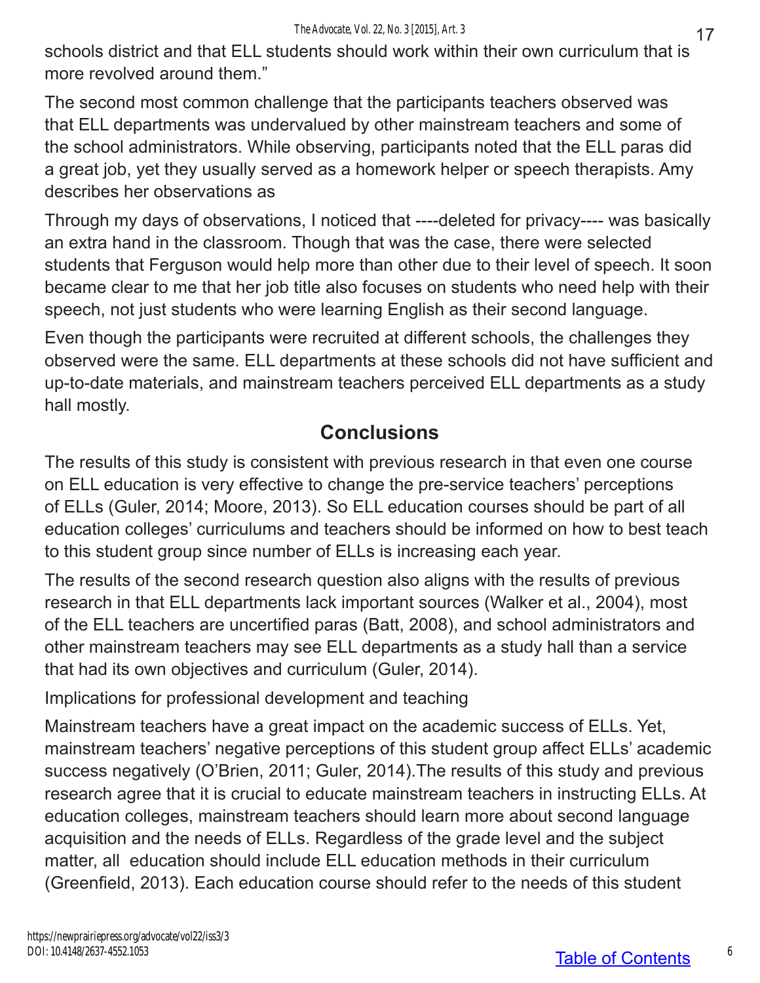schools district and that ELL students should work within their own curriculum that is more revolved around them."

The second most common challenge that the participants teachers observed was that ELL departments was undervalued by other mainstream teachers and some of the school administrators. While observing, participants noted that the ELL paras did a great job, yet they usually served as a homework helper or speech therapists. Amy describes her observations as

Through my days of observations, I noticed that ----deleted for privacy---- was basically an extra hand in the classroom. Though that was the case, there were selected students that Ferguson would help more than other due to their level of speech. It soon became clear to me that her job title also focuses on students who need help with their speech, not just students who were learning English as their second language.

Even though the participants were recruited at different schools, the challenges they observed were the same. ELL departments at these schools did not have sufficient and up-to-date materials, and mainstream teachers perceived ELL departments as a study hall mostly.

## **Conclusions**

The results of this study is consistent with previous research in that even one course on ELL education is very effective to change the pre-service teachers' perceptions of ELLs (Guler, 2014; Moore, 2013). So ELL education courses should be part of all education colleges' curriculums and teachers should be informed on how to best teach to this student group since number of ELLs is increasing each year.

The results of the second research question also aligns with the results of previous research in that ELL departments lack important sources (Walker et al., 2004), most of the ELL teachers are uncertified paras (Batt, 2008), and school administrators and other mainstream teachers may see ELL departments as a study hall than a service that had its own objectives and curriculum (Guler, 2014).

Implications for professional development and teaching

Mainstream teachers have a great impact on the academic success of ELLs. Yet, mainstream teachers' negative perceptions of this student group affect ELLs' academic success negatively (O'Brien, 2011; Guler, 2014).The results of this study and previous research agree that it is crucial to educate mainstream teachers in instructing ELLs. At education colleges, mainstream teachers should learn more about second language acquisition and the needs of ELLs. Regardless of the grade level and the subject matter, all education should include ELL education methods in their curriculum (Greenfield, 2013). Each education course should refer to the needs of this student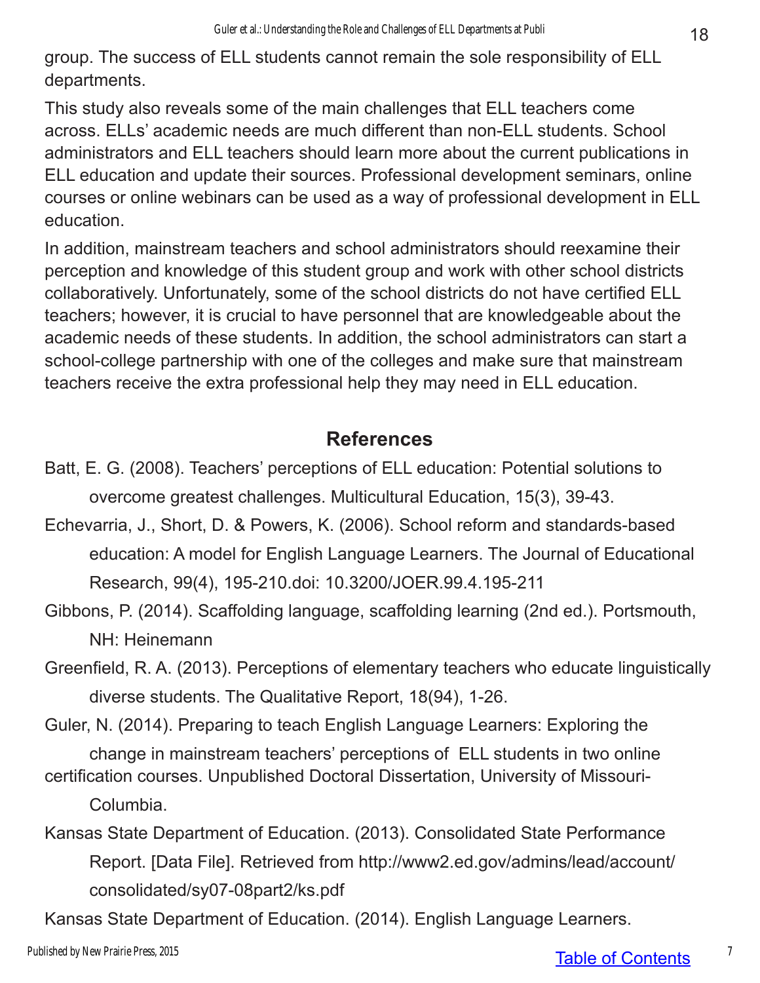group. The success of ELL students cannot remain the sole responsibility of ELL departments.

This study also reveals some of the main challenges that ELL teachers come across. ELLs' academic needs are much different than non-ELL students. School administrators and ELL teachers should learn more about the current publications in ELL education and update their sources. Professional development seminars, online courses or online webinars can be used as a way of professional development in ELL education.

In addition, mainstream teachers and school administrators should reexamine their perception and knowledge of this student group and work with other school districts collaboratively. Unfortunately, some of the school districts do not have certified ELL teachers; however, it is crucial to have personnel that are knowledgeable about the academic needs of these students. In addition, the school administrators can start a school-college partnership with one of the colleges and make sure that mainstream teachers receive the extra professional help they may need in ELL education.

## **References**

- Batt, E. G. (2008). Teachers' perceptions of ELL education: Potential solutions to overcome greatest challenges. Multicultural Education, 15(3), 39-43.
- Echevarria, J., Short, D. & Powers, K. (2006). School reform and standards-based education: A model for English Language Learners. The Journal of Educational Research, 99(4), 195-210.doi: 10.3200/JOER.99.4.195-211
- Gibbons, P. (2014). Scaffolding language, scaffolding learning (2nd ed.). Portsmouth, NH: Heinemann
- Greenfield, R. A. (2013). Perceptions of elementary teachers who educate linguistically diverse students. The Qualitative Report, 18(94), 1-26.

Guler, N. (2014). Preparing to teach English Language Learners: Exploring the change in mainstream teachers' perceptions of ELL students in two online

- certification courses. Unpublished Doctoral Dissertation, University of Missouri-Columbia.
- Kansas State Department of Education. (2013). Consolidated State Performance Report. [Data File]. Retrieved from http://www2.ed.gov/admins/lead/account/ consolidated/sy07-08part2/ks.pdf

Kansas State Department of Education. (2014). English Language Learners.